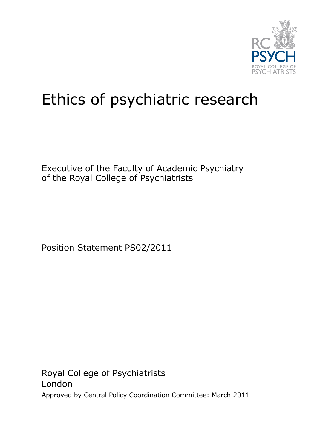

## Ethics of psychiatric research

Executive of the Faculty of Academic Psychiatry of the Royal College of Psychiatrists

Position Statement PS02/2011

Royal College of Psychiatrists London Approved by Central Policy Coordination Committee: March 2011